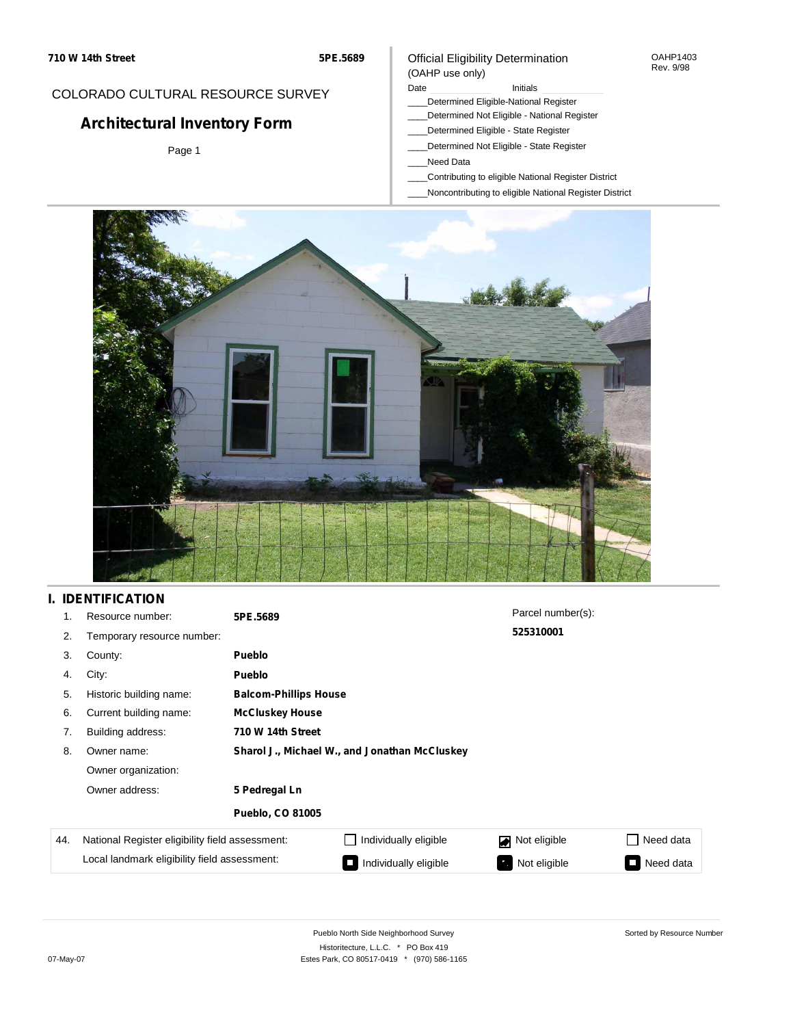## COLORADO CULTURAL RESOURCE SURVEY

# **Architectural Inventory Form**

Page 1

### Official Eligibility Determination (OAHP use only)

### Date **Initials** Initials

- \_\_\_\_Determined Eligible-National Register
- \_\_\_\_Determined Not Eligible National Register
- \_\_\_\_Determined Eligible State Register
- \_\_\_\_Determined Not Eligible State Register
- \_\_\_\_Need Data
- \_\_\_\_Contributing to eligible National Register District
- \_\_\_\_Noncontributing to eligible National Register District



## **I. IDENTIFICATION**

| 1.  | Resource number:                                | 5PE.5689                |                                               | Parcel number(s): |                     |  |  |  |
|-----|-------------------------------------------------|-------------------------|-----------------------------------------------|-------------------|---------------------|--|--|--|
| 2.  | Temporary resource number:                      |                         |                                               | 525310001         |                     |  |  |  |
| 3.  | County:                                         | <b>Pueblo</b>           |                                               |                   |                     |  |  |  |
| 4.  | City:                                           | <b>Pueblo</b>           |                                               |                   |                     |  |  |  |
| 5.  | Historic building name:                         |                         | <b>Balcom-Phillips House</b>                  |                   |                     |  |  |  |
| 6.  | Current building name:                          | <b>McCluskey House</b>  |                                               |                   |                     |  |  |  |
| 7.  | Building address:                               | 710 W 14th Street       |                                               |                   |                     |  |  |  |
| 8.  | Owner name:                                     |                         | Sharol J., Michael W., and Jonathan McCluskey |                   |                     |  |  |  |
|     | Owner organization:                             |                         |                                               |                   |                     |  |  |  |
|     | Owner address:                                  | 5 Pedregal Ln           |                                               |                   |                     |  |  |  |
|     |                                                 | <b>Pueblo, CO 81005</b> |                                               |                   |                     |  |  |  |
| 44. | National Register eligibility field assessment: |                         | Individually eligible                         | Not eligible<br>◪ | Need data           |  |  |  |
|     | Local landmark eligibility field assessment:    |                         | Individually eligible                         | Not eligible      | Need data<br>$\Box$ |  |  |  |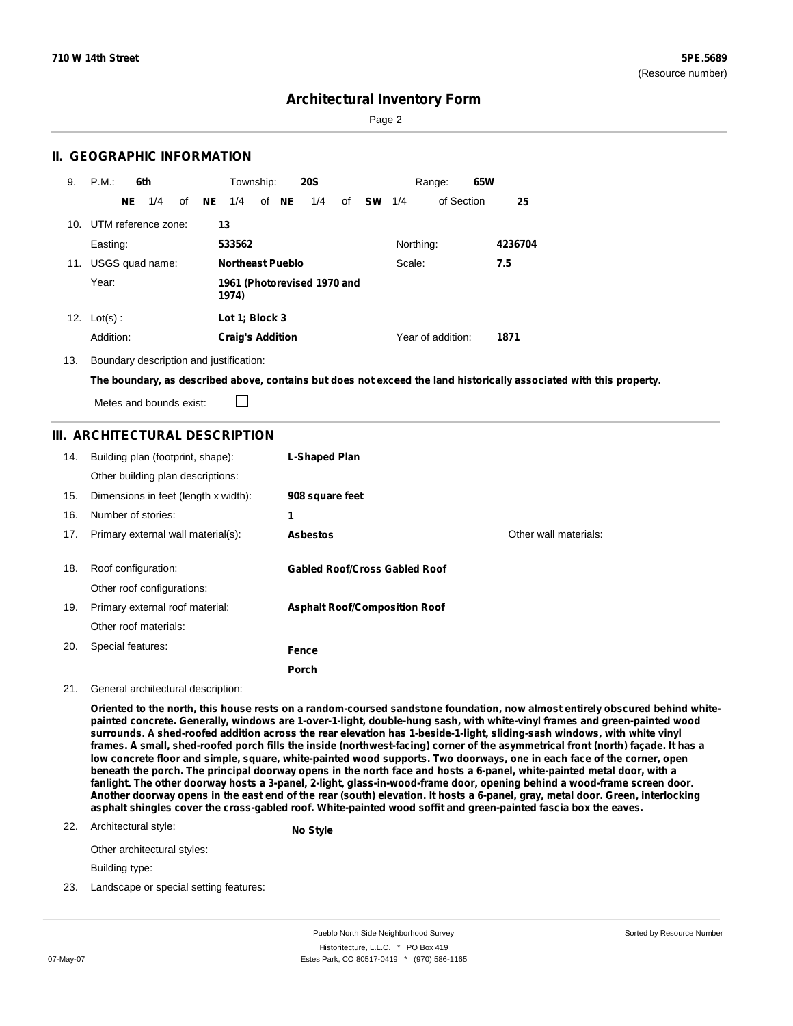Sorted by Resource Number

## **Architectural Inventory Form**

Page 2

## **II. GEOGRAPHIC INFORMATION**

| 9.  | P.M.       |     | 6th                 |    |    | Township:               |       | <b>20S</b>                  |    |           |           | Range:            | 65W |         |
|-----|------------|-----|---------------------|----|----|-------------------------|-------|-----------------------------|----|-----------|-----------|-------------------|-----|---------|
|     |            | NE. | 1/4                 | of | NE | 1/4                     | of NE | 1/4                         | of | <b>SW</b> | 1/4       | of Section        |     | 25      |
| 10. |            |     | UTM reference zone: |    |    | 13                      |       |                             |    |           |           |                   |     |         |
|     | Easting:   |     |                     |    |    | 533562                  |       |                             |    |           | Northing: |                   |     | 4236704 |
| 11. |            |     | USGS quad name:     |    |    | <b>Northeast Pueblo</b> |       |                             |    |           | Scale:    |                   |     | 7.5     |
|     | Year:      |     |                     |    |    | 1974)                   |       | 1961 (Photorevised 1970 and |    |           |           |                   |     |         |
| 12. | $Lot(s)$ : |     |                     |    |    | Lot 1; Block 3          |       |                             |    |           |           |                   |     |         |
|     | Addition:  |     |                     |    |    | <b>Craig's Addition</b> |       |                             |    |           |           | Year of addition: |     | 1871    |

#### 13. Boundary description and justification:

The boundary, as described above, contains but does not exceed the land historically associated with this property.

Metes and bounds exist:

П

## **III. ARCHITECTURAL DESCRIPTION**

| 14. | Building plan (footprint, shape):<br>Other building plan descriptions: | L-Shaped Plan                        |                       |
|-----|------------------------------------------------------------------------|--------------------------------------|-----------------------|
| 15. | Dimensions in feet (length x width):                                   | 908 square feet                      |                       |
| 16. | Number of stories:                                                     | 1                                    |                       |
| 17. | Primary external wall material(s):                                     | <b>Asbestos</b>                      | Other wall materials: |
|     |                                                                        |                                      |                       |
| 18. | Roof configuration:                                                    | <b>Gabled Roof/Cross Gabled Roof</b> |                       |
|     | Other roof configurations:                                             |                                      |                       |
| 19. | Primary external roof material:                                        | <b>Asphalt Roof/Composition Roof</b> |                       |
|     | Other roof materials:                                                  |                                      |                       |
| 20. | Special features:                                                      | Fence                                |                       |
|     |                                                                        | Porch                                |                       |

#### 21. General architectural description:

Oriented to the north, this house rests on a random-coursed sandstone foundation, now almost entirely obscured behind white**painted concrete. Generally, windows are 1-over-1-light, double-hung sash, with white-vinyl frames and green-painted wood** surrounds. A shed-roofed addition across the rear elevation has 1-beside-1-light, sliding-sash windows, with white vinyl frames. A small, shed-roofed porch fills the inside (northwest-facing) corner of the asymmetrical front (north) façade. It has a low concrete floor and simple, square, white-painted wood supports. Two doorways, one in each face of the corner, open beneath the porch. The principal doorway opens in the north face and hosts a 6-panel, white-painted metal door, with a fanlight. The other doorway hosts a 3-panel, 2-light, glass-in-wood-frame door, opening behind a wood-frame screen door. Another doorway opens in the east end of the rear (south) elevation. It hosts a 6-panel, gray, metal door. Green, interlocking **asphalt shingles cover the cross-gabled roof. White-painted wood soffit and green-painted fascia box the eaves.**

### 22. Architectural style:

**No Style**

Other architectural styles:

Building type:

23. Landscape or special setting features:

Pueblo North Side Neighborhood Survey Historitecture, L.L.C. \* PO Box 419 07-May-07 **Estes Park, CO 80517-0419** \* (970) 586-1165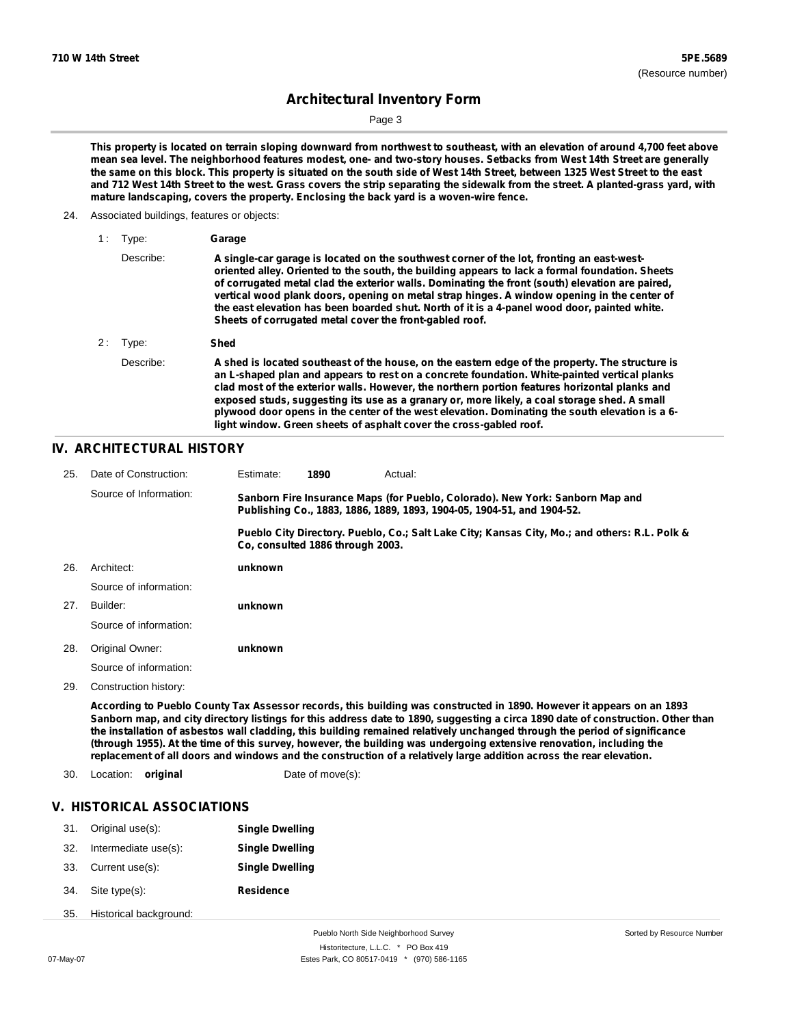Page 3

This property is located on terrain sloping downward from northwest to southeast, with an elevation of around 4,700 feet above mean sea level. The neighborhood features modest, one- and two-story houses. Setbacks from West 14th Street are generally the same on this block. This property is situated on the south side of West 14th Street, between 1325 West Street to the east and 712 West 14th Street to the west. Grass covers the strip separating the sidewalk from the street. A planted-grass yard, with **mature landscaping, covers the property. Enclosing the back yard is a woven-wire fence.**

#### 24. Associated buildings, features or objects:

| 1: | Type:      | Garage                                                                                                                                                                                                                                                                                                                                                                                                                                                                                                                                                                   |
|----|------------|--------------------------------------------------------------------------------------------------------------------------------------------------------------------------------------------------------------------------------------------------------------------------------------------------------------------------------------------------------------------------------------------------------------------------------------------------------------------------------------------------------------------------------------------------------------------------|
|    | Describe:  | A single-car garage is located on the southwest corner of the lot, fronting an east-west-<br>oriented alley. Oriented to the south, the building appears to lack a formal foundation. Sheets<br>of corrugated metal clad the exterior walls. Dominating the front (south) elevation are paired,<br>vertical wood plank doors, opening on metal strap hinges. A window opening in the center of<br>the east elevation has been boarded shut. North of it is a 4-panel wood door, painted white.<br>Sheets of corrugated metal cover the front-gabled roof.                |
|    | $2:$ Type: | Shed                                                                                                                                                                                                                                                                                                                                                                                                                                                                                                                                                                     |
|    | Describe:  | A shed is located southeast of the house, on the eastern edge of the property. The structure is<br>an L-shaped plan and appears to rest on a concrete foundation. White-painted vertical planks<br>clad most of the exterior walls. However, the northern portion features horizontal planks and<br>exposed studs, suggesting its use as a granary or, more likely, a coal storage shed. A small<br>plywood door opens in the center of the west elevation. Dominating the south elevation is a 6-<br>light window. Green sheets of asphalt cover the cross-gabled roof. |

## **IV. ARCHITECTURAL HISTORY**

| 25. | Date of Construction:  | Estimate:                                                                                                                                               | 1890                             | Actual: |                                                                                               |  |
|-----|------------------------|---------------------------------------------------------------------------------------------------------------------------------------------------------|----------------------------------|---------|-----------------------------------------------------------------------------------------------|--|
|     | Source of Information: | Sanborn Fire Insurance Maps (for Pueblo, Colorado). New York: Sanborn Map and<br>Publishing Co., 1883, 1886, 1889, 1893, 1904-05, 1904-51, and 1904-52. |                                  |         |                                                                                               |  |
|     |                        |                                                                                                                                                         | Co. consulted 1886 through 2003. |         | Pueblo City Directory. Pueblo, Co.; Salt Lake City; Kansas City, Mo.; and others: R.L. Polk & |  |
| 26. | Architect:             | unknown                                                                                                                                                 |                                  |         |                                                                                               |  |
|     | Source of information: |                                                                                                                                                         |                                  |         |                                                                                               |  |
| 27. | Builder:               | unknown                                                                                                                                                 |                                  |         |                                                                                               |  |
|     | Source of information: |                                                                                                                                                         |                                  |         |                                                                                               |  |
| 28. | Original Owner:        | unknown                                                                                                                                                 |                                  |         |                                                                                               |  |
|     | Source of information: |                                                                                                                                                         |                                  |         |                                                                                               |  |
|     |                        |                                                                                                                                                         |                                  |         |                                                                                               |  |

Construction history: 29.

> According to Pueblo County Tax Assessor records, this building was constructed in 1890. However it appears on an 1893 Sanborn map, and city directory listings for this address date to 1890, suggesting a circa 1890 date of construction. Other than the installation of asbestos wall cladding, this building remained relatively unchanged through the period of significance (through 1955). At the time of this survey, however, the building was undergoing extensive renovation, including the replacement of all doors and windows and the construction of a relatively large addition across the rear elevation.

- 30. Location: **original** Date of move(s):
	-

## **V. HISTORICAL ASSOCIATIONS**

| 31. | Original use(s):       | <b>Single Dwelling</b> |
|-----|------------------------|------------------------|
| 32. | Intermediate use(s):   | <b>Single Dwelling</b> |
| 33. | Current use(s):        | <b>Single Dwelling</b> |
| 34. | Site type(s):          | <b>Residence</b>       |
| 35. | Historical background: |                        |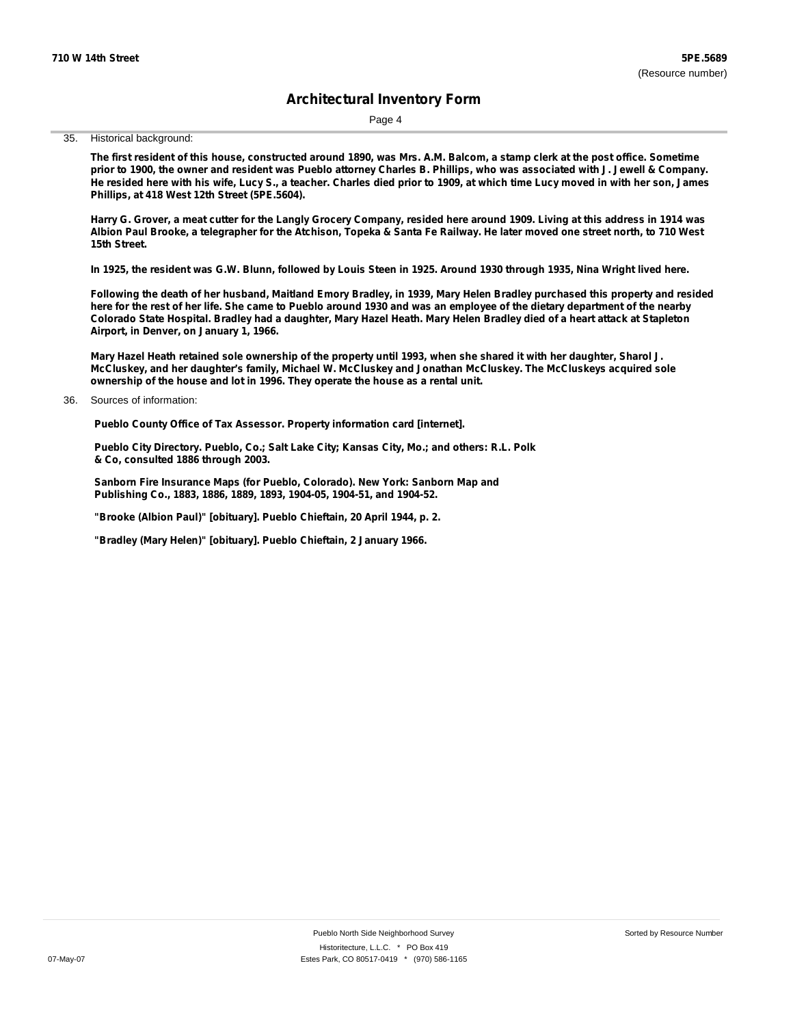Page 4

35. Historical background:

The first resident of this house, constructed around 1890, was Mrs. A.M. Balcom, a stamp clerk at the post office. Sometime prior to 1900, the owner and resident was Pueblo attorney Charles B. Phillips, who was associated with J. Jewell & Company. He resided here with his wife, Lucy S., a teacher. Charles died prior to 1909, at which time Lucy moved in with her son, James **Phillips, at 418 West 12th Street (5PE.5604).**

Harry G. Grover, a meat cutter for the Langly Grocery Company, resided here around 1909. Living at this address in 1914 was Albion Paul Brooke, a telegrapher for the Atchison, Topeka & Santa Fe Railway. He later moved one street north, to 710 West **15th Street.**

In 1925, the resident was G.W. Blunn, followed by Louis Steen in 1925. Around 1930 through 1935, Nina Wright lived here.

Following the death of her husband, Maitland Emory Bradley, in 1939, Mary Helen Bradley purchased this property and resided here for the rest of her life. She came to Pueblo around 1930 and was an employee of the dietary department of the nearby Colorado State Hospital. Bradley had a daughter, Mary Hazel Heath. Mary Helen Bradley died of a heart attack at Stapleton **Airport, in Denver, on January 1, 1966.**

Mary Hazel Heath retained sole ownership of the property until 1993, when she shared it with her daughter, Sharol J. **McCluskey, and her daughter's family, Michael W. McCluskey and Jonathan McCluskey. The McCluskeys acquired sole ownership of the house and lot in 1996. They operate the house as a rental unit.**

**Pueblo County Office of Tax Assessor. Property information card [internet].**

**Pueblo City Directory. Pueblo, Co.; Salt Lake City; Kansas City, Mo.; and others: R.L. Polk & Co, consulted 1886 through 2003.**

**Sanborn Fire Insurance Maps (for Pueblo, Colorado). New York: Sanborn Map and Publishing Co., 1883, 1886, 1889, 1893, 1904-05, 1904-51, and 1904-52.**

**"Brooke (Albion Paul)" [obituary]. Pueblo Chieftain, 20 April 1944, p. 2.**

**"Bradley (Mary Helen)" [obituary]. Pueblo Chieftain, 2 January 1966.**

Sources of information: 36.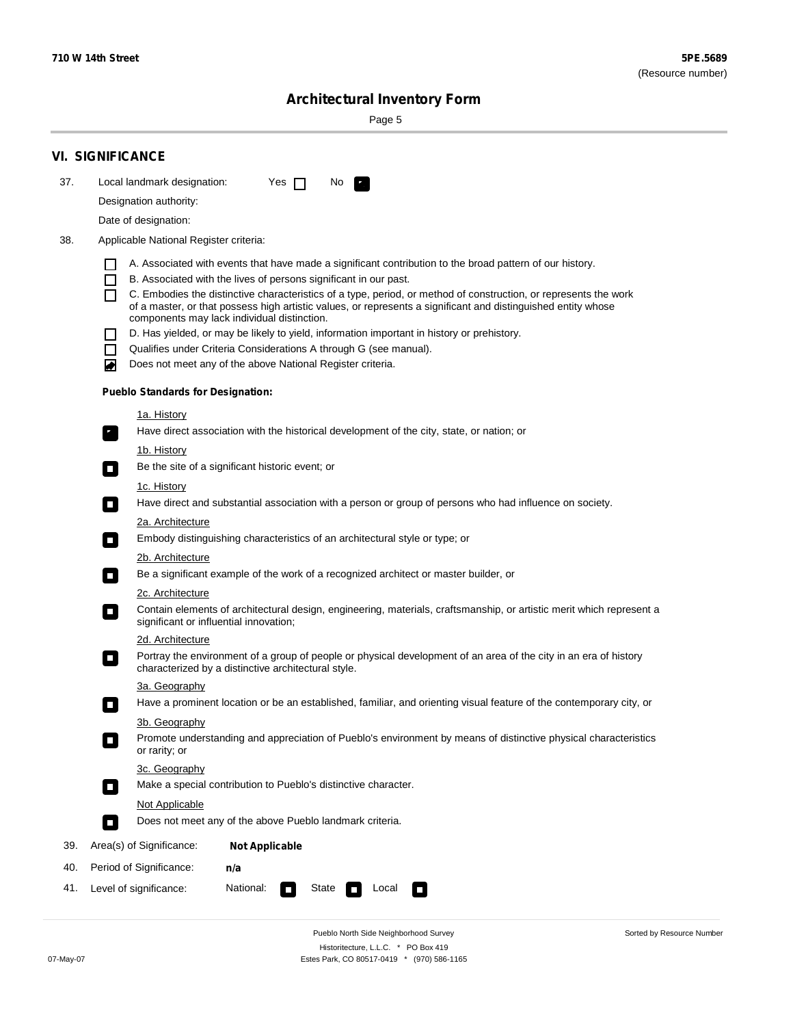Sorted by Resource Number

# **Architectural Inventory Form**

Page 5

|     | <b>VI. SIGNIFICANCE</b>                                                                                                                                                                        |
|-----|------------------------------------------------------------------------------------------------------------------------------------------------------------------------------------------------|
| 37. | Local landmark designation:<br>Yes $\Box$<br>No.<br>HE 2                                                                                                                                       |
|     | Designation authority:                                                                                                                                                                         |
|     | Date of designation:                                                                                                                                                                           |
| 38. | Applicable National Register criteria:                                                                                                                                                         |
|     |                                                                                                                                                                                                |
|     | A. Associated with events that have made a significant contribution to the broad pattern of our history.<br>B. Associated with the lives of persons significant in our past.<br>$\blacksquare$ |
|     | C. Embodies the distinctive characteristics of a type, period, or method of construction, or represents the work<br>П                                                                          |
|     | of a master, or that possess high artistic values, or represents a significant and distinguished entity whose<br>components may lack individual distinction.                                   |
|     | D. Has yielded, or may be likely to yield, information important in history or prehistory.                                                                                                     |
|     | Qualifies under Criteria Considerations A through G (see manual).<br>$\sim$                                                                                                                    |
|     | Does not meet any of the above National Register criteria.<br>₩                                                                                                                                |
|     | <b>Pueblo Standards for Designation:</b>                                                                                                                                                       |
|     | 1a. History                                                                                                                                                                                    |
|     | Have direct association with the historical development of the city, state, or nation; or<br>$\mathbf{r}_\perp$                                                                                |
|     | 1b. History                                                                                                                                                                                    |
|     | Be the site of a significant historic event; or<br>$\blacksquare$                                                                                                                              |
|     | 1c. History                                                                                                                                                                                    |
|     | Have direct and substantial association with a person or group of persons who had influence on society.<br>$\overline{\phantom{a}}$                                                            |
|     | 2a. Architecture<br>Embody distinguishing characteristics of an architectural style or type; or<br>$\mathcal{L}_{\mathcal{A}}$                                                                 |
|     | <u>2b. Architecture</u>                                                                                                                                                                        |
|     | Be a significant example of the work of a recognized architect or master builder, or<br>$\Box$                                                                                                 |
|     | 2c. Architecture                                                                                                                                                                               |
|     | Contain elements of architectural design, engineering, materials, craftsmanship, or artistic merit which represent a<br>$\Box$<br>significant or influential innovation;                       |
|     | 2d. Architecture                                                                                                                                                                               |
|     | Portray the environment of a group of people or physical development of an area of the city in an era of history<br>$\Box$<br>characterized by a distinctive architectural style.              |
|     | 3a. Geography                                                                                                                                                                                  |
|     | Have a prominent location or be an established, familiar, and orienting visual feature of the contemporary city, or                                                                            |
|     | 3b. Geography                                                                                                                                                                                  |
|     | Promote understanding and appreciation of Pueblo's environment by means of distinctive physical characteristics<br>or rarity; or                                                               |
|     | 3c. Geography                                                                                                                                                                                  |
|     | Make a special contribution to Pueblo's distinctive character.<br>$\Box$                                                                                                                       |
|     | <b>Not Applicable</b>                                                                                                                                                                          |
|     | Does not meet any of the above Pueblo landmark criteria.<br>$\overline{\phantom{a}}$                                                                                                           |
| 39. | Area(s) of Significance:<br><b>Not Applicable</b>                                                                                                                                              |
| 40. | Period of Significance:<br>n/a                                                                                                                                                                 |
| 41. | National:<br>Level of significance:<br>State<br>Local<br>$\Box$<br>□                                                                                                                           |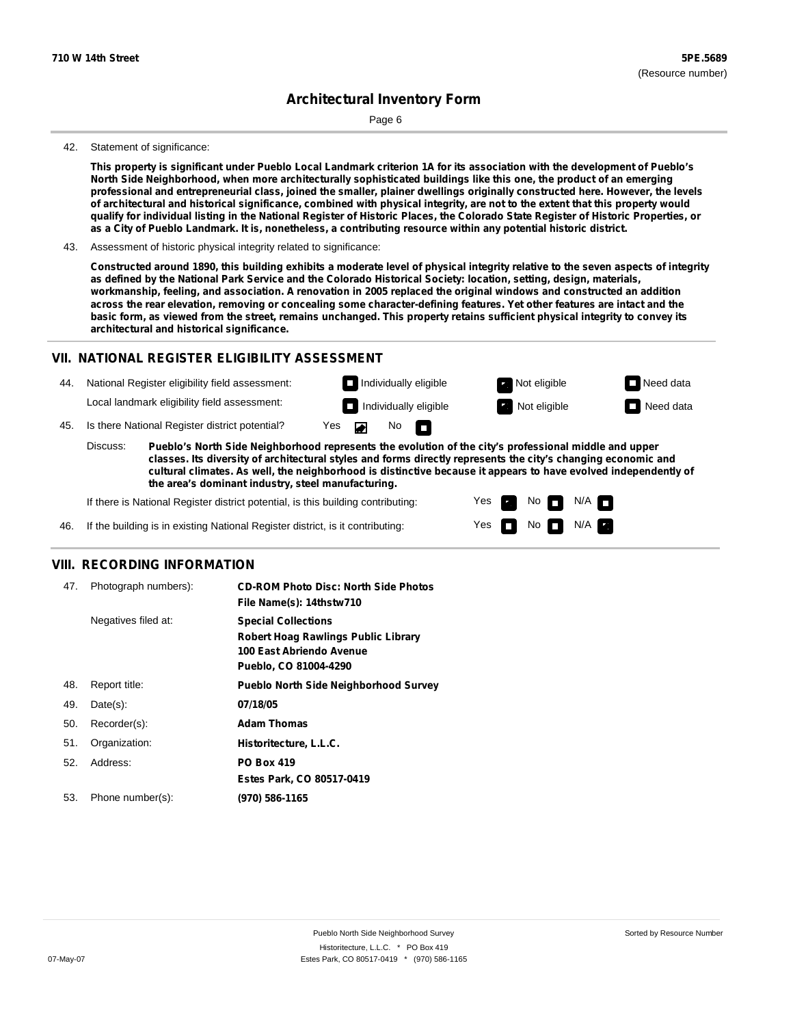Page 6

#### 42. Statement of significance:

This property is significant under Pueblo Local Landmark criterion 1A for its association with the development of Pueblo's North Side Neighborhood, when more architecturally sophisticated buildings like this one, the product of an emerging professional and entrepreneurial class, joined the smaller, plainer dwellings originally constructed here. However, the levels of architectural and historical significance, combined with physical integrity, are not to the extent that this property would qualify for individual listing in the National Register of Historic Places, the Colorado State Register of Historic Properties, or as a City of Pueblo Landmark. It is, nonetheless, a contributing resource within any potential historic district.

43. Assessment of historic physical integrity related to significance:

Constructed around 1890, this building exhibits a moderate level of physical integrity relative to the seven aspects of integrity as defined by the National Park Service and the Colorado Historical Society: location, setting, design, materials, workmanship, feeling, and association. A renovation in 2005 replaced the original windows and constructed an addition across the rear elevation, removing or concealing some character-defining features. Yet other features are intact and the basic form, as viewed from the street, remains unchanged. This property retains sufficient physical integrity to convey its **architectural and historical significance.**

### **VII. NATIONAL REGISTER ELIGIBILITY ASSESSMENT**

National Register eligibility field assessment: 44. Local landmark eligibility field assessment:

**Individually eligible Not eligible** Not eligible **Need data Individually eligible Not eligible** Not eligible **Need data** 

No<sub>D</sub>

 $N/A$   $\Box$ 

45. Is there National Register district potential? Yes

**Pueblo's North Side Neighborhood represents the evolution of the city's professional middle and upper classes. Its diversity of architectural styles and forms directly represents the city's changing economic and cultural climates. As well, the neighborhood is distinctive because it appears to have evolved independently of the area's dominant industry, steel manufacturing.** Discuss:

 $\blacksquare$ 

Yes Yes No

 $No$   $N/A$ 

If there is National Register district potential, is this building contributing:



### **VIII. RECORDING INFORMATION**

| 47. | Photograph numbers): | <b>CD-ROM Photo Disc: North Side Photos</b><br>File Name(s): 14thstw710                                                       |
|-----|----------------------|-------------------------------------------------------------------------------------------------------------------------------|
|     | Negatives filed at:  | <b>Special Collections</b><br><b>Robert Hoag Rawlings Public Library</b><br>100 East Abriendo Avenue<br>Pueblo, CO 81004-4290 |
| 48. | Report title:        | <b>Pueblo North Side Neighborhood Survey</b>                                                                                  |
| 49. | $Date(s)$ :          | 07/18/05                                                                                                                      |
| 50. | Recorder(s):         | <b>Adam Thomas</b>                                                                                                            |
| 51. | Organization:        | Historitecture, L.L.C.                                                                                                        |
| 52. | Address:             | <b>PO Box 419</b>                                                                                                             |
|     |                      | Estes Park, CO 80517-0419                                                                                                     |
| 53. | Phone number(s):     | (970) 586-1165                                                                                                                |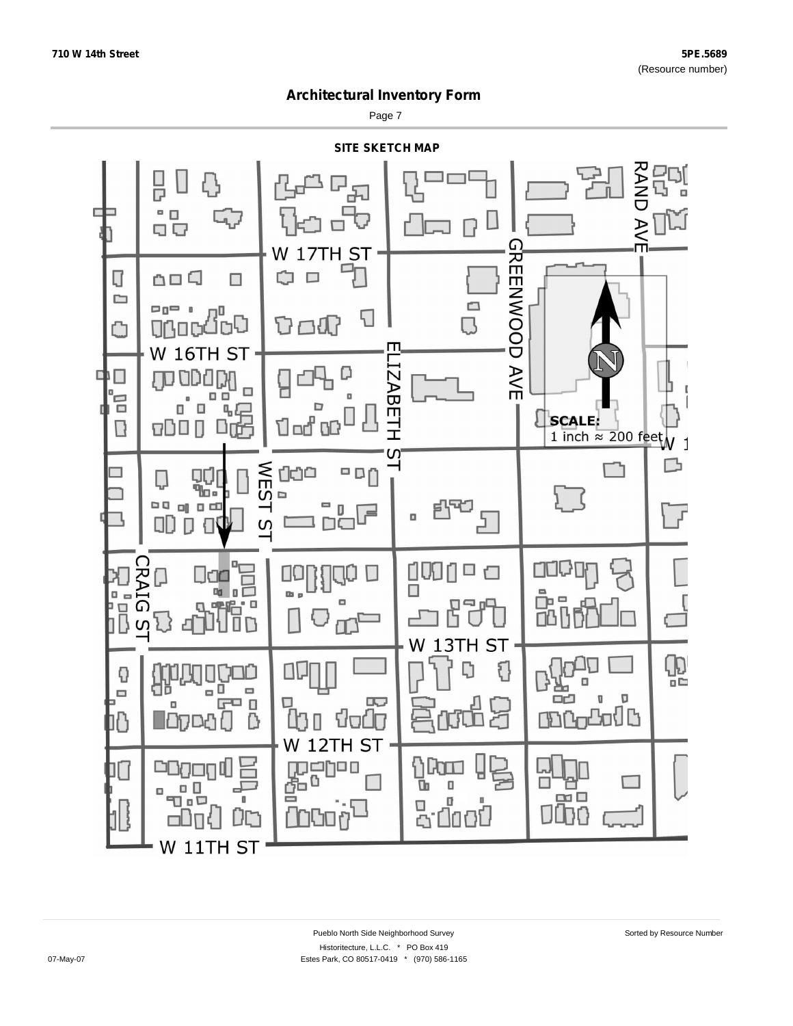Page 7